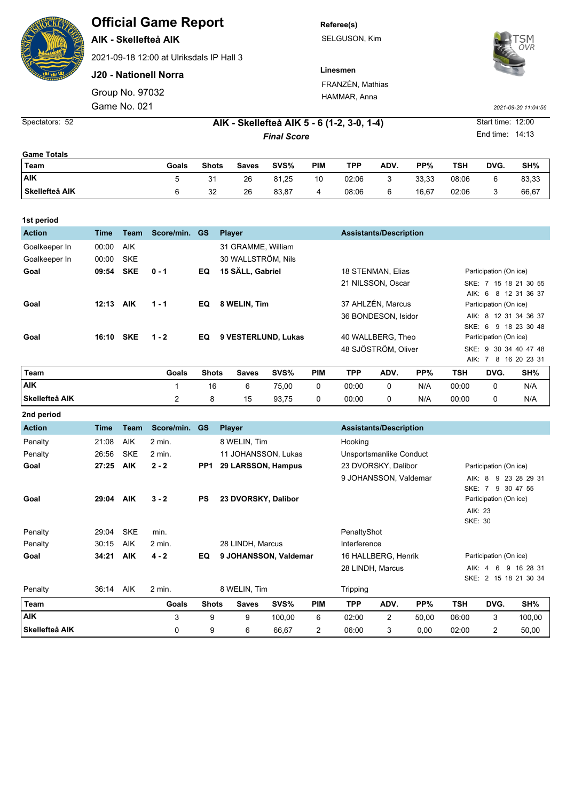## **Official Game Report**

**AIK - Skellefteå AIK**

2021-09-18 12:00 at Ulriksdals IP Hall 3

**J20 - Nationell Norra**

Game No. 021 Group No. 97032 **Referee(s)** SELGUSON, Kim



**Linesmen** FRANZÉN, Mathias HAMMAR, Anna

**5 - 6 (1-2, 3-0, 1-4)** Start time: 12:00 Spectators: 52 **AIK - Skellefteå AIK**

*2021-09-20 11:04:56*

End time: 14:13

| <b>Game Totals</b> |       |              |              |       |            |       |      |       |            |      |       |
|--------------------|-------|--------------|--------------|-------|------------|-------|------|-------|------------|------|-------|
| Team               | Goals | <b>Shots</b> | <b>Saves</b> | SVS%  | <b>PIM</b> | TPP   | ADV. | PP%   | <b>TSH</b> | DVG. | SH%   |
| <b>AIK</b>         |       | 31           | 26           | 81,25 | 10         | 02:06 | 3    | 33.33 | 08:06      |      | 83,33 |
| Skellefteå AIK     |       | 32           | 26           | 83,87 | 4          | 08:06 | 6    | 16.67 | 02:06      | J    | 66,67 |

*Final Score*

| 1st period       |       |            |            |                |                               |                                                  |                                      |
|------------------|-------|------------|------------|----------------|-------------------------------|--------------------------------------------------|--------------------------------------|
| <b>Action</b>    | Time  | Team       | Score/min. | <b>GS</b>      | <b>Player</b>                 | <b>Assistants/Description</b>                    |                                      |
| Goalkeeper In    | 00:00 | <b>AIK</b> |            |                | 31 GRAMME, William            |                                                  |                                      |
| Goalkeeper In    | 00:00 | <b>SKE</b> |            |                | 30 WALLSTRÖM, Nils            |                                                  |                                      |
| Goal             | 09:54 | <b>SKE</b> | $0 - 1$    | EQ             | 15 SÄLL, Gabriel              | 18 STENMAN, Elias                                | Participation (On ice)               |
|                  |       |            |            |                |                               | 21 NILSSON, Oscar                                | 15 18 21 30 55<br>SKE: 7             |
|                  |       |            |            |                |                               |                                                  | AIK: 6 8 12 31 36 37                 |
| Goal             | 12:13 | <b>AIK</b> | $1 - 1$    | EQ             | 8 WELIN. Tim                  | 37 AHLZÉN, Marcus                                | Participation (On ice)               |
|                  |       |            |            |                |                               | 36 BONDESON, Isidor                              | AIK: 8 12 31 34 36 37                |
|                  |       |            |            |                |                               |                                                  | SKE: 6 9 18 23 30 48                 |
| Goal             | 16:10 | <b>SKE</b> | $1 - 2$    | EQ             | 9 VESTERLUND, Lukas           | 40 WALLBERG, Theo                                | Participation (On ice)               |
|                  |       |            |            |                |                               | 48 SJÖSTRÖM, Oliver                              | SKE: 9 30 34 40 47 48                |
|                  |       |            |            |                |                               |                                                  | AIK: 7 8 16 20 23 31                 |
| $T_{\text{max}}$ |       |            | 0.018      | R <sub>h</sub> | <b>DIM</b><br>C1001<br>0.0000 | <b>TDD</b><br>AD <sub>1</sub><br>D <sub>DA</sub> | TOU<br>C <sub>10</sub><br><b>DUC</b> |

| Team           | Goals | Shots | Saves | SVS%  | PIM | <b>TPP</b> | ADV. | PP% | <b>TSH</b> | DVG. | SH% |
|----------------|-------|-------|-------|-------|-----|------------|------|-----|------------|------|-----|
| laik           |       |       |       | 75,00 |     | 00:00      |      | N/A | 00:00      |      | N/A |
| Skellefteå AIK |       |       | 15    | 93,75 |     | 00:00      |      | N/A | 00:00      |      | N/A |

| 2nd period     |             |             |            |                 |                       |        |            |                                               |                               |       |            |                        |                       |
|----------------|-------------|-------------|------------|-----------------|-----------------------|--------|------------|-----------------------------------------------|-------------------------------|-------|------------|------------------------|-----------------------|
| <b>Action</b>  | <b>Time</b> | <b>Team</b> | Score/min. | <b>GS</b>       | <b>Player</b>         |        |            |                                               | <b>Assistants/Description</b> |       |            |                        |                       |
| Penalty        | 21:08       | <b>AIK</b>  | 2 min.     |                 | 8 WELIN, Tim          |        |            | Hooking                                       |                               |       |            |                        |                       |
| Penalty        | 26:56       | <b>SKE</b>  | $2$ min.   |                 | 11 JOHANSSON, Lukas   |        |            |                                               | Unsportsmanlike Conduct       |       |            |                        |                       |
| Goal           | 27:25       | <b>AIK</b>  | $2 - 2$    | PP <sub>1</sub> | 29 LARSSON, Hampus    |        |            |                                               | 23 DVORSKY, Dalibor           |       |            | Participation (On ice) |                       |
|                |             |             |            |                 |                       |        |            |                                               | 9 JOHANSSON, Valdemar         |       | AIK:       | -8<br>9                | 23 28 29 31           |
|                |             |             |            |                 |                       |        |            |                                               |                               |       | SKE:       | 9<br>7                 | 30 47 55              |
| Goal           | 29:04       | <b>AIK</b>  | $3 - 2$    | PS              | 23 DVORSKY, Dalibor   |        |            |                                               |                               |       |            | Participation (On ice) |                       |
|                |             |             |            |                 |                       |        |            |                                               |                               |       |            | AIK: 23                |                       |
|                |             |             |            |                 |                       |        |            |                                               |                               |       |            | <b>SKE: 30</b>         |                       |
| Penalty        | 29:04       | <b>SKE</b>  | min.       |                 |                       |        |            | PenaltyShot                                   |                               |       |            |                        |                       |
| Penalty        | 30:15       | <b>AIK</b>  | 2 min.     |                 | 28 LINDH, Marcus      |        |            | Interference                                  |                               |       |            |                        |                       |
| Goal           | 34:21       | <b>AIK</b>  | $4 - 2$    | EQ              | 9 JOHANSSON, Valdemar |        |            | 16 HALLBERG, Henrik<br>Participation (On ice) |                               |       |            |                        |                       |
|                |             |             |            |                 |                       |        |            |                                               | 28 LINDH, Marcus              |       |            | AIK: 4<br>6            | 9 16 28 31            |
|                |             |             |            |                 |                       |        |            |                                               |                               |       |            |                        | SKE: 2 15 18 21 30 34 |
| Penalty        | 36:14       | <b>AIK</b>  | $2$ min.   |                 | 8 WELIN, Tim          |        |            | <b>Tripping</b>                               |                               |       |            |                        |                       |
| Team           |             |             | Goals      | <b>Shots</b>    | <b>Saves</b>          | SVS%   | <b>PIM</b> | <b>TPP</b>                                    | ADV.                          | PP%   | <b>TSH</b> | DVG.                   | SH%                   |
| <b>AIK</b>     |             |             | 3          | 9               | 9                     | 100,00 | 6          | 02:00                                         | $\overline{2}$                | 50,00 | 06:00      | 3                      | 100,00                |
| Skellefteå AIK |             |             | 0          | 9               | 6                     | 66,67  | 2          | 06:00                                         | 3                             | 0,00  | 02:00      | 2                      | 50,00                 |